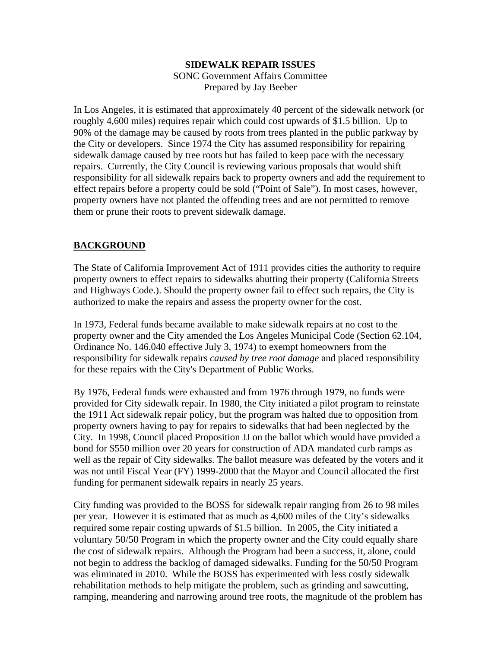### **SIDEWALK REPAIR ISSUES**  SONC Government Affairs Committee Prepared by Jay Beeber

In Los Angeles, it is estimated that approximately 40 percent of the sidewalk network (or roughly 4,600 miles) requires repair which could cost upwards of \$1.5 billion. Up to 90% of the damage may be caused by roots from trees planted in the public parkway by the City or developers. Since 1974 the City has assumed responsibility for repairing sidewalk damage caused by tree roots but has failed to keep pace with the necessary repairs. Currently, the City Council is reviewing various proposals that would shift responsibility for all sidewalk repairs back to property owners and add the requirement to effect repairs before a property could be sold ("Point of Sale"). In most cases, however, property owners have not planted the offending trees and are not permitted to remove them or prune their roots to prevent sidewalk damage.

## **BACKGROUND**

The State of California Improvement Act of 1911 provides cities the authority to require property owners to effect repairs to sidewalks abutting their property (California Streets and Highways Code.). Should the property owner fail to effect such repairs, the City is authorized to make the repairs and assess the property owner for the cost.

In 1973, Federal funds became available to make sidewalk repairs at no cost to the property owner and the City amended the Los Angeles Municipal Code (Section 62.104, Ordinance No. 146.040 effective July 3, 1974) to exempt homeowners from the responsibility for sidewalk repairs *caused by tree root damage* and placed responsibility for these repairs with the City's Department of Public Works.

By 1976, Federal funds were exhausted and from 1976 through 1979, no funds were provided for City sidewalk repair. In 1980, the City initiated a pilot program to reinstate the 1911 Act sidewalk repair policy, but the program was halted due to opposition from property owners having to pay for repairs to sidewalks that had been neglected by the City. In 1998, Council placed Proposition JJ on the ballot which would have provided a bond for \$550 million over 20 years for construction of ADA mandated curb ramps as well as the repair of City sidewalks. The ballot measure was defeated by the voters and it was not until Fiscal Year (FY) 1999-2000 that the Mayor and Council allocated the first funding for permanent sidewalk repairs in nearly 25 years.

City funding was provided to the BOSS for sidewalk repair ranging from 26 to 98 miles per year. However it is estimated that as much as 4,600 miles of the City's sidewalks required some repair costing upwards of \$1.5 billion. In 2005, the City initiated a voluntary 50/50 Program in which the property owner and the City could equally share the cost of sidewalk repairs. Although the Program had been a success, it, alone, could not begin to address the backlog of damaged sidewalks. Funding for the 50/50 Program was eliminated in 2010. While the BOSS has experimented with less costly sidewalk rehabilitation methods to help mitigate the problem, such as grinding and sawcutting, ramping, meandering and narrowing around tree roots, the magnitude of the problem has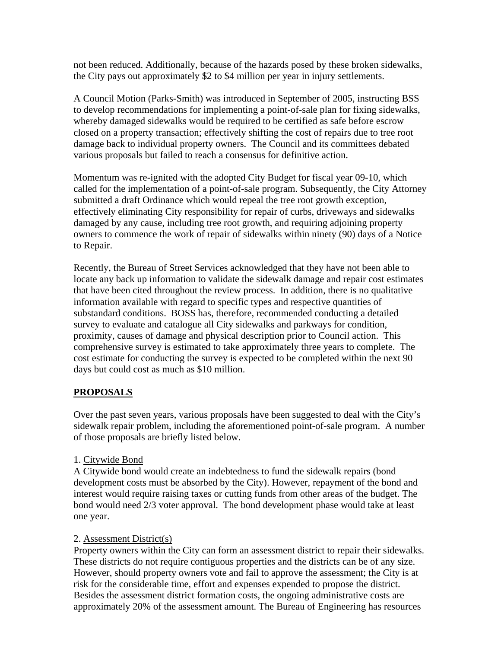not been reduced. Additionally, because of the hazards posed by these broken sidewalks, the City pays out approximately \$2 to \$4 million per year in injury settlements.

A Council Motion (Parks-Smith) was introduced in September of 2005, instructing BSS to develop recommendations for implementing a point-of-sale plan for fixing sidewalks, whereby damaged sidewalks would be required to be certified as safe before escrow closed on a property transaction; effectively shifting the cost of repairs due to tree root damage back to individual property owners. The Council and its committees debated various proposals but failed to reach a consensus for definitive action.

Momentum was re-ignited with the adopted City Budget for fiscal year 09-10, which called for the implementation of a point-of-sale program. Subsequently, the City Attorney submitted a draft Ordinance which would repeal the tree root growth exception, effectively eliminating City responsibility for repair of curbs, driveways and sidewalks damaged by any cause, including tree root growth, and requiring adjoining property owners to commence the work of repair of sidewalks within ninety (90) days of a Notice to Repair.

Recently, the Bureau of Street Services acknowledged that they have not been able to locate any back up information to validate the sidewalk damage and repair cost estimates that have been cited throughout the review process. In addition, there is no qualitative information available with regard to specific types and respective quantities of substandard conditions. BOSS has, therefore, recommended conducting a detailed survey to evaluate and catalogue all City sidewalks and parkways for condition, proximity, causes of damage and physical description prior to Council action. This comprehensive survey is estimated to take approximately three years to complete. The cost estimate for conducting the survey is expected to be completed within the next 90 days but could cost as much as \$10 million.

# **PROPOSALS**

Over the past seven years, various proposals have been suggested to deal with the City's sidewalk repair problem, including the aforementioned point-of-sale program. A number of those proposals are briefly listed below.

### 1. Citywide Bond

A Citywide bond would create an indebtedness to fund the sidewalk repairs (bond development costs must be absorbed by the City). However, repayment of the bond and interest would require raising taxes or cutting funds from other areas of the budget. The bond would need 2/3 voter approval. The bond development phase would take at least one year.

### 2. Assessment District(s)

Property owners within the City can form an assessment district to repair their sidewalks. These districts do not require contiguous properties and the districts can be of any size. However, should property owners vote and fail to approve the assessment; the City is at risk for the considerable time, effort and expenses expended to propose the district. Besides the assessment district formation costs, the ongoing administrative costs are approximately 20% of the assessment amount. The Bureau of Engineering has resources